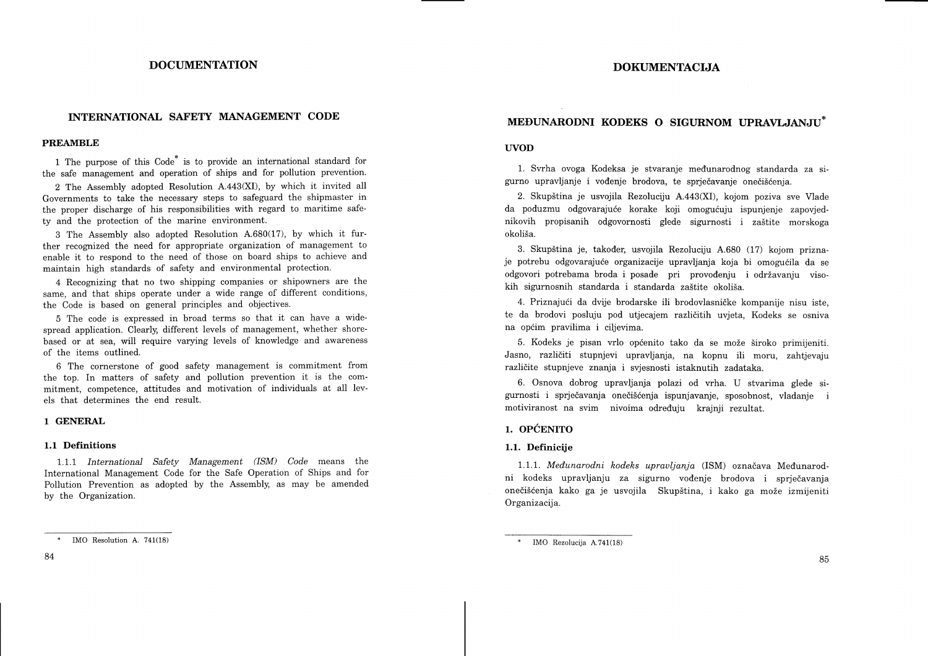## DOCUMENTATION

# INTERNATIONAL SAFETY MANAGEMENT CODE

### PREAMBLE

1 The purpose of this Code\* is to provide an international standard for the safe management and operation of ships and for pollution prevention.

2 The Assembly adopted Resolution A.443(XI), by which it invited all Governments to take the necessary steps to safeguard the shipmaster in the proper discharge of his responsibilities with regard to maritime safety and the protection of the marine environment.

3 The Assembly also adopted Resolution A.680(17), by which it further recognized the need for appropriate organization of management to enable it to respond to the need of those on board ships to achieve and maintain high standards of safety and environmental protection.

4 Recognizing that no two shipping companies or shipowners are the same, and that ships operate under a wide range of different conditions, the Code is based on general principles and objectives.

5 The code is expressed in broad terms so that it can have a widespread application. Clearly, different levels of management, whether shorebased or at sea, will require varying levels of knowledge and awareness of the items outlined.

6 The cornerstone of good safety management is commitment from the top. In matters of safety and pollution prevention it is the commitment, competence, attitudes and motivation of individuals at all levels that determines the end result.

### 1 GENERAL

#### 1.1 Definitions

1.1.1 International Safety Management (ISM) Code means the International Management Code for the Safe Operation of Ships and for Pollution Prevention as adopted by the Assembly, as may be amended by the Organization.

# MEDUNARODNI KODEKS O SIGURNOM UPRAVLJANJU\*

#### UVOD

1. Svrha ovoga Kodeksa je stvaranje medunarodnog standarda za sigurno upravljanje i vođenje brodova, te sprječavanje onečišćenja.

2. Skup5tina je usvojila Rezoluciju A.443(XI), kojom poziva sve Vlade da poduzmu odgovarajuće korake koji omogućuju ispunjenje zapovjednikovih propisanih odgovornosti glede sigurnosti i za5tite morskoga okoliša.

3. Skup5tina je, takoder, usvojila Rezoluciju A.680 (17) kojom priznaje potrebu odgovarajuće organizacije upravljanja koja bi omogućila da se odgovori potrebama broda i posade pri provođenju i održavanju visokih sigurnosnih standarda i standarda za5tite okoli5a.

4. Priznajući da dvije brodarske ili brodovlasničke kompanije nisu iste, te da brodovi posluju pod utjecajem razliditih uvjeta, Kodeks se osniva na općim pravilima i ciljevima.

5. Kodeks je pisan vrlo općenito tako da se može široko primijeniti. Jasno, razliditi stupnjevi upravljanja, na kopnu ili moru, zahtjevaju različite stupnjeve znanja i svjesnosti istaknutih zadataka.

6. Osnova dobrog upravljanja polazi od vrha. U stvarima glede sigurnosti i sprjedavanja onediSdenja ispunjavanje, sposobnost, vladanje i motiviranost na svim nivoima odreduju krajnji rezultat.

# 1. OpCENTTO

### 1.1. Definicije

1.1.1. Međunarodni kodeks upravljanja (ISM) označava Međunarodni kodeks upravljanju za sigurno vođenje brodova i sprječavanja onečišćenja kako ga je usvojila Skupština, i kako ga može izmijeniti Organizacija.

IMO Resolution A. 741(18)  $*$  IMO Rezolucija A.741(18)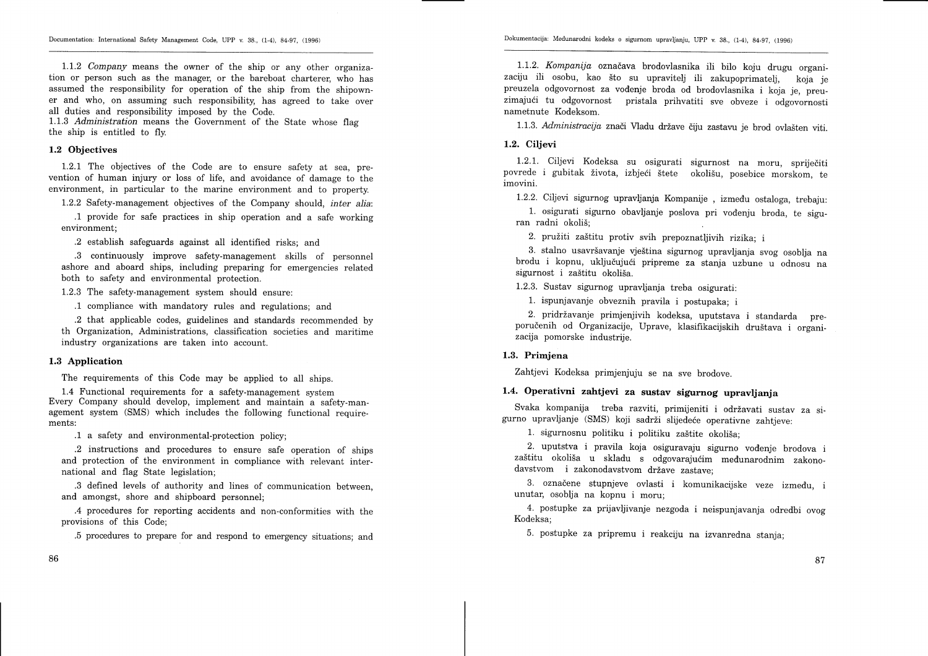Documentation: International Safety Management Code, UPP v. 38., (1-4), 84-97, (1996)

 $1.1.2$  Company means the owner of the ship or any other organization or person such as the manager, or the bareboat charterer, who has assumed the responsibility for operation of the ship from the shipowner and who, on assuming such responsibility, has agreed to take over all duties and responsibility imposed by the Code.

1.1.3 Administration means the Government of the State whose flag the ship is entitled to fly.

#### 1.2 Objectives

1.2.1 The objectives of the Code are to ensure safety at sea, prevention of human injury or loss of life, and avoidance of damage to the environment, in particular to the marine environment and to property.

1.2.2 Safety-management objectives of the Company should, inter alia:

.1 provide for safe practices in ship operation and a safe working environment;

.2 establish safeguards against all identified risks; and

.3 continuously improve safety-management skills of personnel ashore and aboard ships, including preparing for emergencies related both to safety and environmental protection.

L.2.3 The safety-management system should ensure:

.1 compliance with mandatory rules and regulations; and

.2 that applicable codes, guidelines and standards recommended by th Organization, Administrations, classification societies and maritime industry organizations are taken into account.

#### 1.3 Application

The requirements of this Code may be applied to all ships.

1.4 Functional requirements for a safety-management system Every Company should develop, implement and maintain a safety-management system (SMS) which includes the following functional requirements:

.1 a safety and environmental-protection policy;

.2 instructions and procedures to ensure safe operation of ships and protection of the environment in compliance with relevant international and flag State legislation;

.3 defined levels of authority and lines of communication between, and amongst, shore and shipboard personnel;

.4 procedures for reporting accidents and non-conformities with the provisions of this Code;

.5 procedures to prepare for and respond to emergency situations; and

1.1.2. Kompanija označava brodovlasnika ili bilo koju drugu organizaciju ili osobu, kao što su upraviteli ili zakupoprimatelj, koja je preuzela odgovornost za vodenje broda od brodovlasnika i koja je, preuzimajući tu odgovornost pristala prihvatiti sve obveze i odgovornosti nametnute Kodeksom.

1.1.3. Administracija znači Vladu države čiju zastavu je brod ovlašten viti.

#### L.2. Ciljevi

t.2.1. Ciljevi Kodeksa su osigurati sigurnost na moru, sprijediti povrede i gubitak života, izbieći štete okolišu, posebice morskom, te imovini.

1.2.2. Ciljevi sigurnog upravljanja Kompanije , izmedu ostaloga, trebaju:

1. osigurati sigurno obavljanje poslova pri vodenju broda, te siguran radni okoliš:

2. pružiti zaštitu protiv svih prepoznatljivih rizika; i

3. stalno usavršavanje vještina sigurnog upravljanja svog osoblja na brodu i kopnu, uključujući pripreme za stanja uzbune u odnosu na sigurnost i zaštitu okoliša.

L.2.3. Sustav sigurnog upravljanja treba osigurati:

f. ispunjavanje obveznih pravila i postupaka; <sup>i</sup>

2. pridržavanje primjenjivih kodeksa, uputstava i standarda preporučenih od Organizacije, Uprave, klasifikacijskih društava i organizacija pomorske industrije.

## 1.3. Primjena

Zahtjevi Kodeksa primjenjuju se na sve brodove.

# 1.4. operativni zahtjevi za sustav sigurnog upravljanja

Svaka kompanija treba razviti, primijeniti i održavati sustav za sigurno upravljanje (SMS) koji sadrži slijedeće operativne zahtjeve:

1. sigurnosnu politiku i politiku zaštite okoliša;

2. uputstva i pravila koja osiguravaju sigurno vodenje brodova i zaštitu okoliša u skladu s odgovarajućim međunarodnim zakonodavstvom i zakonodavstvom države zastave:

3. oznadene stupnjeve ovlasti i komunikacijske veze izmedu, <sup>i</sup> unutar, osoblja na kopnu i moru;

4' postupke za prijavljivanje nezgoda i neispunjavanja odredbi ovog Kodeksa;

5. postupke za pripremu i reakciju na izvanredna stanja;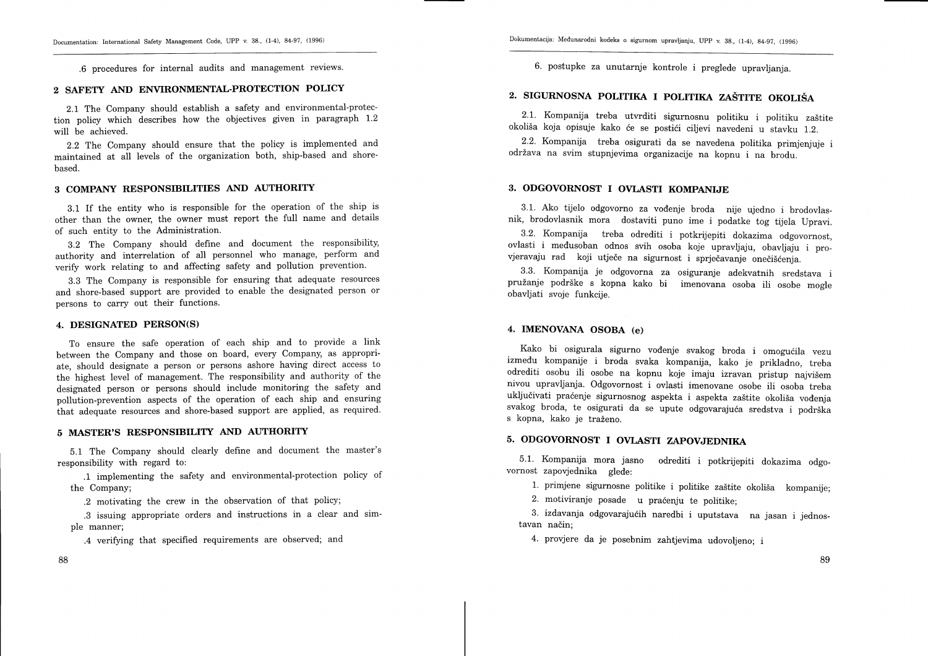.6 procedures for internal audits and management revlews.

#### 2 SAFETY AND ENVIRONMENTAL-PROTECTION POLICY

2.L The Company should establish a safety and environmental-protection policy which describes how the objectives given in paragraph 1.2 will be achieved.

2.2 The Company should ensure that the policy is implemented and maintained at all levels of the organization both, ship-based and shorebased.

## 3 COMPANY RESPONSIBILITIES AND AUTHORITY

3.1 If the entity who is responsible for the operation of the ship is other than the owner, the owner must report the full name and details of such entity to the Administration.

B.Z The Company should define and document the responsibility, authority and interrelation of all personnel who manage, perform and verify work relating to and affecting safety and pollution prevention.

3.3 The Company is responsible for ensuring that adequate resources and shore-based support are provided to enable the designated person or persons to carry out their functions.

### 4. DESIGNATED PERSON(S)

To ensure the safe operation of each ship and to provide a link between the Company and those on board, every Company, as appropriate, should designate a person or persons ashore having direct access to the highest level of management. The responsibility and authority of the designated person or persons should include monitoring the safety and pollution-prevention aspects of the operation of each ship and ensuring that adequate resources and shore-based support are applied, as required.

#### 5 MASTER'S RESPONSIBILITY AND AUTHORITY

5.1 The Company should clearly define and document the master's responsibility with regard to:

.1 implementing the safety and environmental-protection policy of the Company;

.2 motivating the crew in the observation of that policy;

.3 issuing appropriate orders and instructions in a clear and simple manner;

.4 verifying that specified requirements are observed; and

88

6. postupke za unutarnje kontrole i preglede upravljanja.

# 2. SIGURNOSNA POLITIKA I POLITIKA ZAŠTITE OKOLIŠA

2.1. Kompanija treba utvrditi sigurnosnu politiku i politiku zaštite okoliša koja opisuje kako će se postići ciljevi navedeni u stavku 1.2.

2.2. Kompanija treba osigurati da se navedena politika primjenjuje i održava na svim stupnjevima organizacije na kopnu i na brodu.

## 3. ODGOVORNOST I OVLASTI KOMPANIJE

3.1. Ako tijelo odgovorno za vođenje broda nije ujedno i brodovlasnik, brodovlasnik mora dostaviti puno ime i podatke tog tijela Upravi.

3.2. Kompanija treba odrediti i potkrijepiti dokazima odgovornost, ovlasti i medusoban odnos svih osoba koje upravljaju, obavljaju i provjeravaju rad koji utječe na sigurnost i sprječavanje onečišćenja.

3.3. Kompanija je odgovorna za osiguranje adekvatnih sredstava <sup>i</sup> pružanje podrške s kopna kako bi imenovana osoba ili osobe mogle obavljati svoje funkcije.

### 4. IMENOVANA OSOBA (e)

Kako bi osigurala sigurno vođenje svakog broda i omogućila vezu izmedu kompanije i broda svaka kompanija, kako je prikladno, treba odrediti osobu ili osobe na kopnu koje imaju izravan pristup najvišem nivou upravljanja. Odgovornost i ovlasti imenovane osobe ili osoba treba uključivati praćenje sigurnosnog aspekta i aspekta zaštite okoliša vođenja svakog broda, te osigurati da se upute odgovarajuća sredstva i podrška s kopna, kako je traženo.

# 5. ODGOVORNOST I OVLASTI ZAPOVJEDNIKA

5'1. Kompanija mora jasno odrediti i potkrijepiti dokazima odgovornost zapovjednika glede:

1. primjene sigurnosne politike i politike zaštite okoliša kompanije;

2. motiviranje posade u praćenju te politike;

3. izdavanja odgovarajućih naredbi i uputstava na jasan i jednostavan način;

4. provjere da je posebnim zahtjevima udovoljeno; i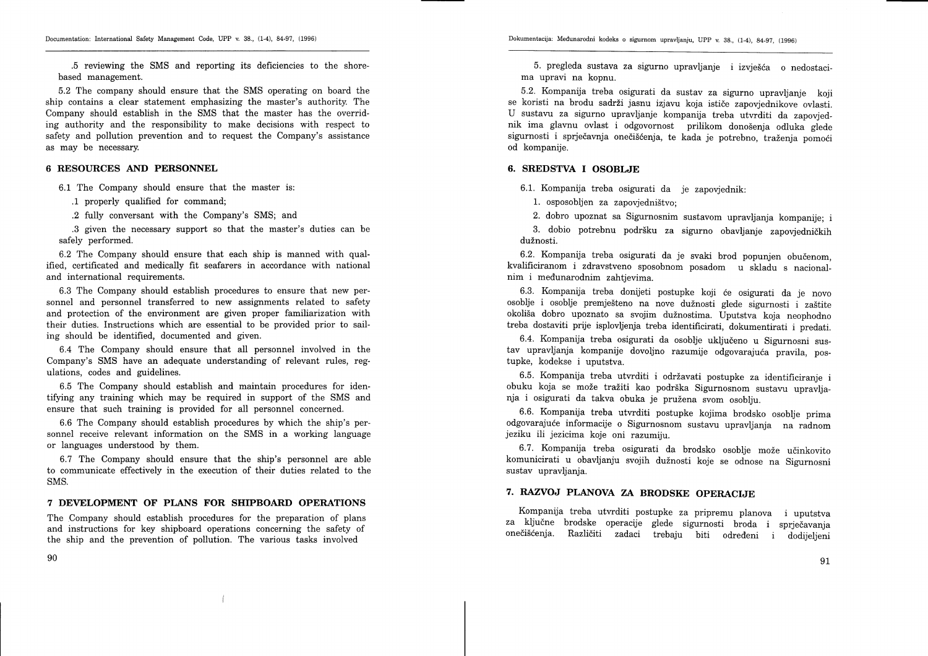.5 reviewing the SMS and reporting its deficiencies to the shorebased management.

5.2 The company should ensure that the SMS operating on board the ship contains a clear statement emphasizing the master's authority. The Company should establish in the SMS that the master has the overriding authority and the responsibility to make decisions with respect to safety and pollution prevention and to request the Company's assistance as may be necessary.

### 6 RESOURCES AND PERSONNEL

6.1 The Company should ensure that the master is:

.1 properly qualified for command;

.2 fully conversant with the Company's SMS; and

.3 given the necessary support so that the master's duties can be safely performed.

6.2 The Company should ensure that each ship is manned with qualified, certificated and medically fit seafarers in accordance with national and international requirements.

6.3 The Company should establish procedures to ensure that new personnel and personnel transferred to new assignments related to safety and protection of the environment are given proper familiarization with their duties. Instructions which are essential to be provided prior to sailing should be identified, documented and given.

6.4 The Company should ensure that all personnel involved in the Company's SMS have an adequate understanding of relevant rules, regulations, codes and guidelines.

6.5 The Company should establish and maintain procedures for identifying any training which may be required in support of the SMS and ensure that such training is provided for all personnel concerned.

6.6 The Company should establish procedures by which the ship's personnel receive relevant information on the SMS in a working language or languages understood by them.

6.7 The Company should ensure that the ship's personnel are able to communicate effectively in the execution of their duties related to the SMS.

## 7 DEVELOPMENT OF PLANS FOR SHIPBOARD OPERATIONS

The Company should establish procedures for the preparation of plans and instructions for key shipboard operations concerning the safety of the ship and the prevention of pollution. The various tasks involved

90

5. pregleda sustava za sigurno upravljanje i izvješća o nedostacima upravi na kopnu.

5.2. Kompanija treba osigurati da sustav za sigurno upravljanje koji U sustavu za sigurno upravlianie kompanija treba utvrditi da zapovjednik ima glavnu ovlast i odgovornost prilikom donošenia odluka glede sigurnosti i sprječavnja onečišćenja, te kada je potrebno, traženja pomoći od kompanije.

### 6. SREDSTVA I OSOBLJE

6.1. Kompanija treba osigurati da je zapovjednik:

1. osposobljen za zapovjedništvo:

2. dobro upoznat sa Sigurnosnim sustavom upravljanja kompanije; i

3. dobio potrebnu podršku za sigurno obavljanje zapovjedničkih dužnosti.

6.2. Kompanija treba osigurati da je svaki brod popunjen obučenom, kvalificiranom i zdravstveno sposobnom posadom u skladu s nacionalnim i medunarodnim zahtjevima.

6.3. Kompanija treba donijeti postupke koji (e osigurati da je novo osoblje i osoblje premješteno na nove dužnosti glede sigurnosti i zaštite okoliša dobro upoznato sa svojim dužnostima. Uputstva koja neophodno treba dostaviti prrje isplovljenja treba identificirati, dokumentirati i predati.

6.4. Kompanija treba osigurati da osoblje ukljudeno u Sigurnosni sustav upravljanja kompanije dovoljno razumije odgovarajuća pravila, postupke, kodekse i uputstva.

6.5. Kompanija treba utvrditi i održavati postupke za identificiranje i obuku koja se može tražiti kao podrška Sigurnosnom sustavu upravljanja i osigurati da takva obuka je pruzena svom osoblju.

6.6. Kompanija treba utvrditi postupke kojima brodsko osoblje prima odgovarajuie informacije o Sigurnosnom sustavu upravljanja na radnom jeziku ili jezicima koje oni razumiju.

6.7. Kompanija treba osigurati da brodsko osoblje može učinkovito komunicirati u obavljanju svojih dužnosti koje se odnose na Sigurnosni sustav upravljanja.

# 7. RAZVOJ PLANOVA ZA BRODSKE OPERACIJE

Kompanija treba utwditi postupke za pripremu planova i uputstva za ključne brodske operacije glede sigurnosti broda i sprječavanja onedi5denja. Razliditi zadaci trebaju biti odredeni i dodijeljeni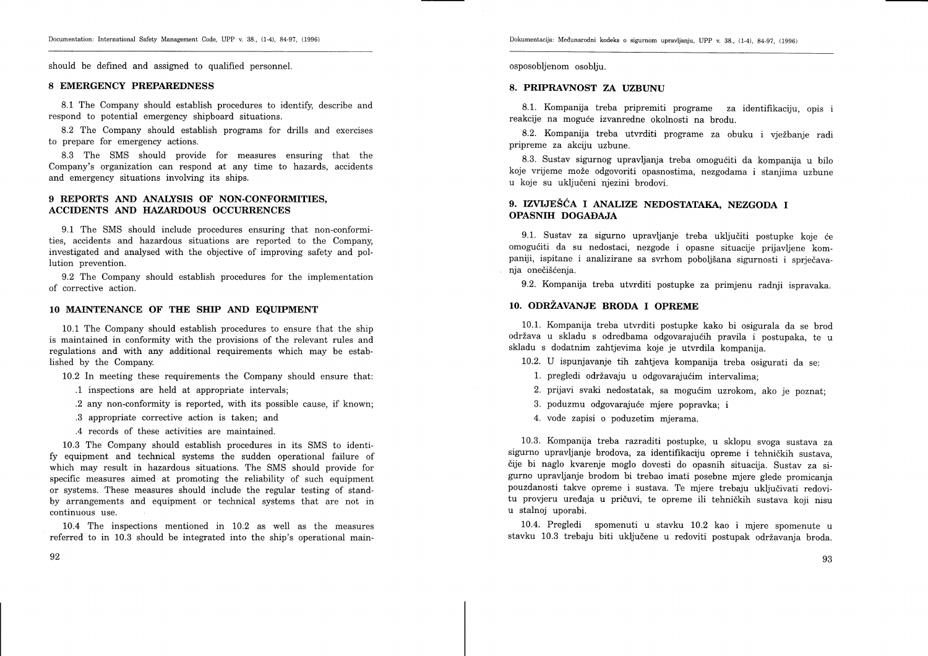Dokumentacija: Medunarodni kodeks o sigurnom upravljanju, Upp v. 88., (1-4), g4-g7, (1996)

should be defined and assigned to qualified personnel.

### 8 EMERGENCY PREPAREDNESS

8.1 The Company should establish procedures to identify, describe and respond to potential emergency shipboard situations.

8.2 The Company should establish programs for drills and exercises to prepare for emergency actions.

8.3 The SMS should provide for measures ensuring that the Company's organization can respond at any time to hazards, accidents and emergency situations involving its ships.

## 9 REPORTS AND ANALYSIS OF NON-CONFORMITIES. ACCIDENTS AND HAZARDOUS OCCURRENCES

9.1 The SMS should include procedures ensuring that non-conformities, accidents and hazardous situations are reported to the Company, investigated and analysed with the objective of improving safety and pollution prevention.

9.2 The Company should establish procedures for the implementation of corrective action.

### 10 MAINTENANCE OF THE SHIP AND EQUIPMENT

10.1 The Company should establish procedures to ensure that the ship is maintained in conformity with the provisions of the relevant rules and regulations and with any additional requirements which may be established by the Company.

10.2 In meeting these requirements the Company should ensure that:

- .1 inspections are held at appropriate intervals;
- .2 any non-conformity is reported, with its possible cause, if known;
- .3 appropriate corrective action is taken; and
- .4 records of these activities are maintained.

10.3 The Company should establish procedures in its SMS to identify equipment and technical systems the sudden operational failure of which may result in hazardous situations. The SMS should provide for specific measures aimed at promoting the reliability of such equipment or systems. These measures should include the regular testing of standby arrangements and equipment or technical systems that are not in continuous use.

10.4 The inspections mentioned in 10.2 as well as the measures referred to in 10.3 should be integrated into the ship's operational mainosposobljenom osoblju.

### 8. PRIPRAVNOST ZA UZBUNU

8.1. Kompanija treba pripremiti programe za identifikaciju, opis i reakcije na mogude izvanredne okolnosti na brodu.

8.2. Kompanija treba utvrditi programe za obuku i vježbanje radi pripreme za akciju uzbune.

8.3. Sustav sigurnog upravljanja treba omogućiti da kompanija u bilo koje vrijeme može odgovoriti opasnostima, nezgodama i stanjima uzbune u koje su ukljudeni njezini brodovi.

# 9. IZVIJEŠĆA I ANALIZE NEDOSTATAKA, NEZGODA I OPASNIH DOGADAJA

9.1. Sustav za sigurno upravljanje treba uključiti postupke koje će omoguiiti da su nedostaci, nezgode i opasne situacije prijavljene kompaniji, ispitane i analizirane sa svrhom poboljšana sigurnosti i sprječavanja onečišćenja.

9.2. Kompanija treba utvrditi postupke za primjenu radnji ispravaka.

# 10. ODRZAVANJE BRODA I OPREME

10.1. Kompanija treba utvrditi postupke kako bi osigurala da se brod održava u skladu s odredbama odgovarajućih pravila i postupaka, te u skladu s dodatnim zahtjevima koje je utvrdila kompanija.

10.2. U ispunjavanje tih zahtjeva kompanija treba osigurati da se:

- 1. pregledi održavaju u odgovarajućim intervalima;
- 2. prijavi svaki nedostatak, sa mogućim uzrokom, ako je poznat;
- 3. poduzmu odgovarajude mjere popravka; i
- 4. vode zapisi o poduzetim mjerama.

10.3. Kompanija treba razraditi postupke, u sklopu svoga sustava za sigurno upravljanje brodova, za identifikaciju opreme i tehničkih sustava, čije bi naglo kvarenje moglo dovesti do opasnih situacija. Sustav za sigurno upravljanje brodom bi trebao imati posebne mjere glede promicanja pouzdanosti takve opreme i sustava. Te mjere trebaju uključivati redovitu provjeru uređaja u pričuvi, te opreme ili tehničkih sustava koji nisu u stalnoj uporabi.

10.4. Pregledi spomenuti u stavku L0.2 kao i mjere spomenute <sup>u</sup> stavku 10.3 trebaju biti uključene u redoviti postupak održavanja broda.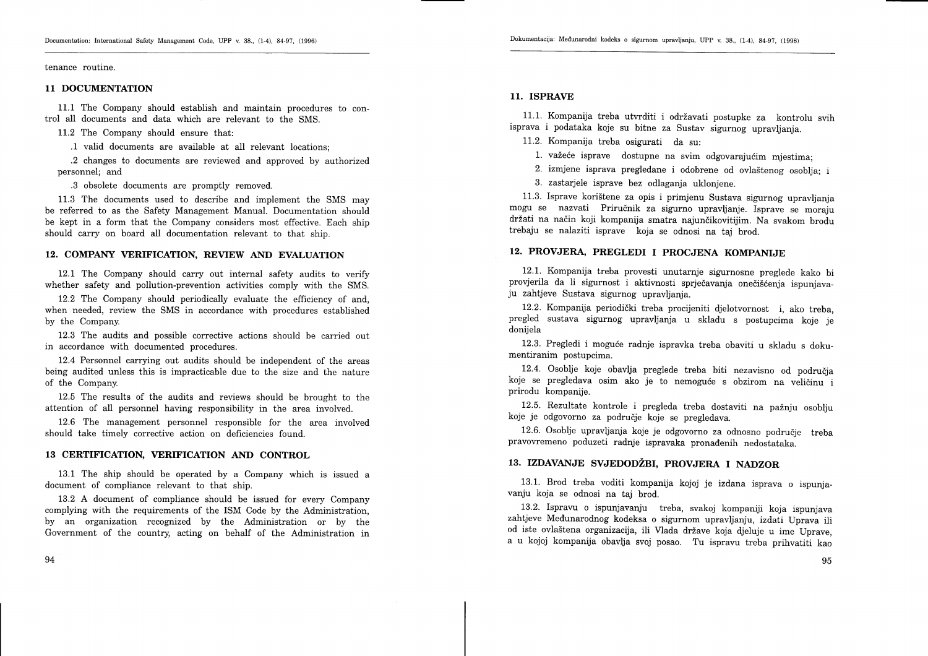#### tenance routine.

### 11 DOCUMENTATION

11.1 The Company should establish and maintain procedures to control all documents and data which are relevant to the SMS.

11.2 The Company should ensure that:

.1 valid documents are available at all relevant locations;

.2 changes to documents are reviewed and approved by authorized personnel; and

.3 obsolete documents are promptly removed.

11.3 The documents used to describe and implement the SMS may be referred to as the Safety Management Manual. Documentation should be kept in a form that the Company considers most effective. Each ship should carry on board all documentation relevant to that ship.

### 12. COMPANY VERIFICATION. REVIEW AND EVALUATION

12.1 The Company should carry out internal safety audits to verify whether safety and pollution-prevention activities comply with the SMS.

12.2 The Company should periodically evaluate the efficiency of and, when needed, review the SMS in accordance with procedures established by the Company.

12.3 The audits and possible corrective actions should be carried out in accordance with documented procedures.

12.4 Personnel carrying out audits should be independent of the areas being audited unless this is impracticable due to the size and the nature of the Company.

L2.5 The results of the audits and reyiews should be brought to the attention of all personnel having responsibility in the area involved.

12.6 The management personnel responsible for the area involved should take timely corrective action on deficiencies found.

## 13 CERTIFICATION, VERIFICATION AND CONTROL

13.1 The ship should be operated by a Company which is issued <sup>a</sup> document of compliance relevant to that ship.

L3.2 A document of compliance should be issued for every Company complying with the requirements of the ISM Code by the Administration, by an organization recognized by the Administration or by the Government of the country acting on behalf of the Administration in

### 11. ISPRAVE

11.1. Kompanija treba utvrditi i održavati postupke za kontrolu svih isprava i podataka koje su bitne za Sustav sigurnog upravljanja.

L1.2. Kompanija treba osigurati da su:

1. važeće isprave dostupne na svim odgovarajućim mjestima:

2. izmjene isprava pregledane i odobrene od ovla5tenog osoblja; i

3. zastarjele isprave bez odlaganja uklonjene.

11.3. Isprave kori5tene za opis i primjenu Sustava sigurnog upravljanja mogu se nazvati Prirudnik za sigurno upravljanje. Isprave se moraju držati na način koji kompanija smatra najunčikovitijim. Na svakom brodu trebaju se nalaziti isprave koja se odnosi na taj brod.

### L2. PROVJERA, PREGLEDI I PROCJENA KOMPANIJE

L2.1. Kompanija treba provesti unutarnje sigurnosne preglede kako bi provjerila da li sigurnost i aktivnosti sprječavanja onečišćenja ispunjava-<br>ju zahtjeve Sustava sigurnog upravljanja.

12.2. Kompanija periodidki treba procijeniti djelotvornost i, ako treba, pregled sustava sigurnog upravljanja u skladu s postupcima koje je donijela

12.3. Pregledi i mogude radnje ispravka treba obaviti u skladu s dokumentiranim postupcima.

12.4. Osoblje koje obavlja preglede treba biti nezavisno od područja koje se pregledava osim ako je to nemoguće s obzirom na veličinu i prirodu kompanije.

12.5. Rezultate kontrole i pregleda treba dostaviti na pažnju osoblju koje je odgovorno za područje koje se pregledava.

12.6. Osoblje upravljanja koje je odgovorno za odnosno područje treba pravovremeno poduzeti radnje ispravaka pronadenih nedostataka.

### 13. IZDAVANJE SVJEDODŽBI, PROVJERA I NADZOR

13.1. Brod treba voditi kompanija kojoj je izdana isprava o ispunjavanju koja se odnosi na taj brod.

L3.2. Ispravu o ispunjavanju treba, svakoj kompaniji koja ispunjava zahtjeve Medunarodnog kodeksa o sigurnom upravljanju, izdati Uprava ili od iste ovlaštena organizacija, ili Vlada države koja djeluje u ime Uprave, a u kojoj kompanija obavlja svoj posao. Tu ispravu treba prihvatiti kao